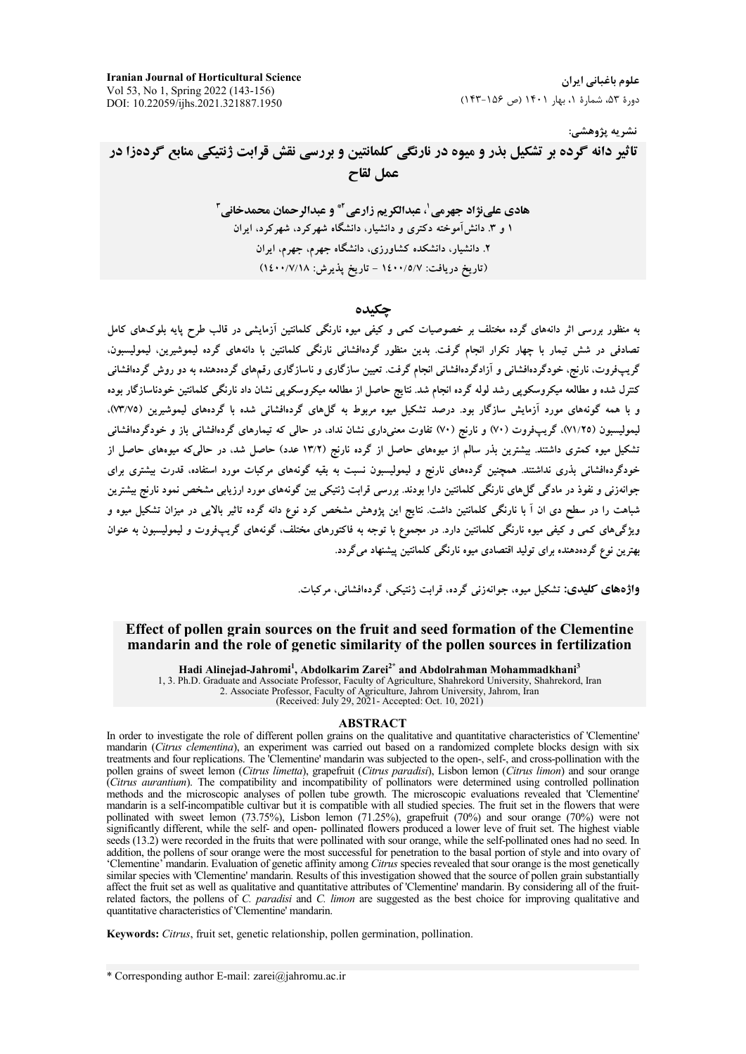**Iranian Journal of Horticultural Science** Vol 53, No 1, Spring 2022 (143-156) DOI: 10.22059/ijhs.2021.321887.1950

علوم باغیانی ایران دورهٔ ۵۳، شمارهٔ ۱، بهار ۱۴۰۱ (ص ۱۵۶-۱۴۳)

#### نشريه پژوهشي:

تاثیر دانه گرده بر تشکیل بذر و میوه در نارنگی کلمانتین و بررسی نقش قرابت ژنتیکی منابع گردهزا در عمل لقاح

> هادي علىنژاد جهرمي ل عبدالكريم زارعي آ\* و عبدالرحمان محمدخاني آ ۱ و ۳ دانش آموخته دکتری و دانشیار، دانشگاه شهرکرد، شهرکرد، ایران ۲. دانشیار، دانشکده کشاورزی، دانشگاه جهرم، جهرم، ایران (تاريخ دريافت: ١٤٠٠/٥/٧ - تاريخ يذيرش: ١٤٠٠/٧/١٨)

### حكىدە

به منظور بررسی اثر دانههای گرده مختلف بر خصوصیات کمی و کیفی میوه نارنگی کلمانتین آزمایشی در قالب طرح پایه بلوکهای کامل تصادفی در شش تیمار با چهار تکرار انجام گرفت. بدین منظور گردهافشانی نارنگی کلمانتین با دانههای گرده لیموشیرین، لیمولیسبون، گریب فروت، نارنج، خودگردهافشانی و آزادگردهافشانی انجام گرفت. تعیین سازگاری و ناسازگاری رقمهای گردهدهنده به دو روش گردهافشانی کنترل شده و مطالعه میکروسکویی رشد لوله گرده انجام شد. نتایج حاصل از مطالعه میکروسکویی نشان داد نارنگی کلمانتین خودناسازگار بوده و با همه گونههای مورد آزمایش سازگار بود. درصد تشکیل میوه مربوط به گلهای گردهافشانی شده با گردههای لیموشیرین (۷۳/۷۵). لیمولیسبون (۷۱/۲۵)، گریپفروت (۷۰) و نارنج (۷۰) تفاوت معنیداری نشان نداد، در حالی که تیمارهای گردهافشانی باز و خودگردهافشانی تشکیل میوه کمتری داشتند. بیشترین بذر سالم از میوههای حاصل از گرده نارنج (۱۳/۲ عدد) حاصل شد، در حالی که میوههای حاصل از خودگردهافشانی بذری نداشتند. همچنین گردههای نارنج و لیمولیسبون نسبت به بقیه گونههای مرکبات مورد استفاده، قدرت بیشتری برای جوانهزنی و نفوذ در مادگی گل۵های نارنگی کلمانتین دارا بودند. بررسی قرابت ژنتیکی بین گونههای مورد ارزیابی مشخص نمود نارنج بیشترین شباهت را در سطح دی ان اَ با نارنگی کلمانتین داشت. نتایج این پژوهش مشخص کرد نوع دانه گرده تاثیر بالایی در میزان تشکیل میوه و ویژگیهای کمی و کیفی میوه نارنگی کلمانتین دارد. در مجموع با توجه به فاکتورهای مختلف، گونههای گریپفروت و لیمولیسبون به عنوان بهترین نوع گردهدهنده برای تولید اقتصادی میوه نارنگی کلمانتین پیشنهاد می گردد.

و**اژههای کلیدی:** تشکیل میوه، جوانهزنی گرده، قرابت ژنتیکی، گردهافشانی، مرکبات.

### Effect of pollen grain sources on the fruit and seed formation of the Clementine mandarin and the role of genetic similarity of the pollen sources in fertilization

Hadi Alinejad-Jahromi<sup>1</sup>, Abdolkarim Zarei<sup>2\*</sup> and Abdolrahman Mohammadkhani<sup>3</sup>

1, 3. Ph.D. Graduate and Associate Professor, Faculty of Agriculture, Shahrekord University, Shahrekord, Iran 2. Associate Professor, Faculty of Agriculture, Jahrom University, Jahrom, Iran (Received: July 29, 2021- Accepted: Oct. 10, 2021)

#### **ABSTRACT**

In order to investigate the role of different pollen grains on the qualitative and quantitative characteristics of 'Clementine' mandarin (Citrus clementina), an experiment was carried out based on a randomized complete blocks design with six treatments and four replications. The Clementine' mandarin was subjected to the open-, self-, and cross-pollination with the pollen grains of sweet lemon (Citrus limetta), grapefruit (Citrus paradisi), Lisbon lemon (Citrus limon) and sour orange Citrus aurantium). The compatibility and incompatibility of pollinators were determined using controlled pollination<br>methods and the microscopic analyses of pollen tube growth. The microscopic evaluations revealed that 'Cl pollinated with sweet lemon (73.75%), Lisbon lemon (71.25%), grapefruit (70%) and sour orange (70%) were not significantly different, while the self- and open-pollinated flowers produced a lower leve of fruit set. The highest viable seeds (13.2) were recorded in the fruits that were pollinated with sour orange, while the self-pollinated ones had no seed. In addition, the pollens of sour orange were the most successful for penetration to the basal portion of style and into ovary of 'Clementine' mandarin. Evaluation of genetic affinity among Citrus species revealed that sour orange is the most genetically similar species with 'Clementine' mandarin. Results of this investigation showed that the source of pollen grain substantially affect the fruit set as well as qualitative and quantitative attributes of 'Clementine' mandarin. By considering all of the fruitrelated factors, the pollens of C. paradisi and C. limon are suggested as the best choice for improving qualitative and quantitative characteristics of 'Clementine' mandarin.

Keywords: Citrus, fruit set, genetic relationship, pollen germination, pollination.

<sup>\*</sup> Corresponding author E-mail: zarei@jahromu.ac.ir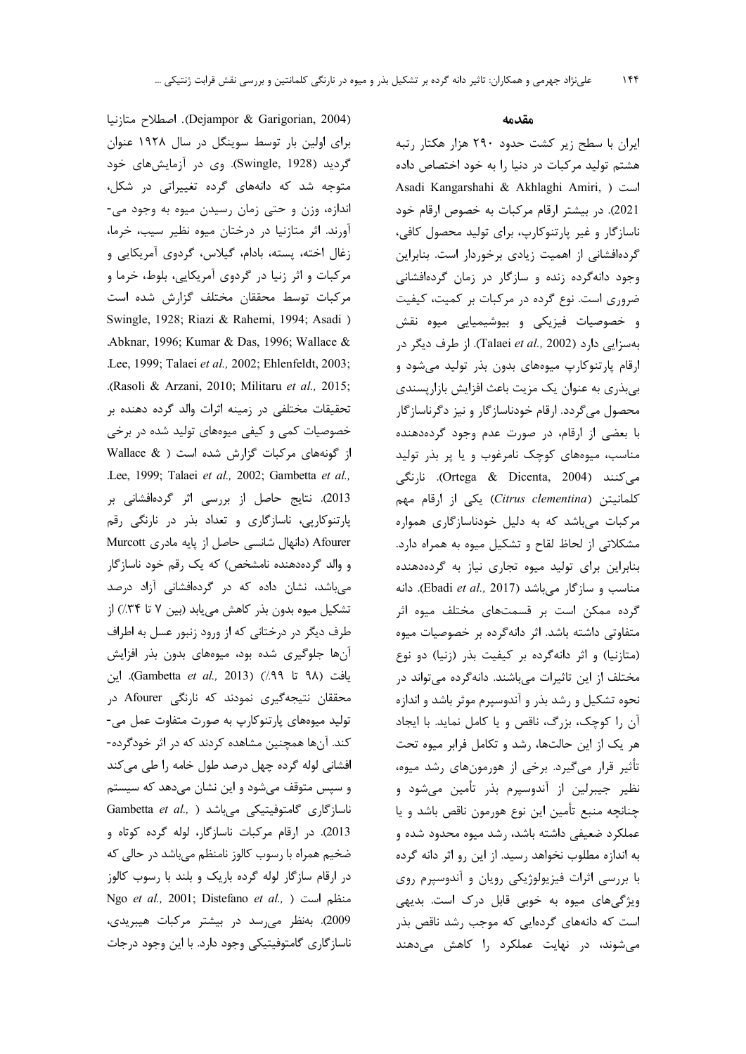(Dejampor & Garigorian, 2004). اصطلاح متازنيا برای اولین بار توسط سوینگل در سال ۱۹۲۸ عنوان گردید (Swingle, 1928). وی در آزمایشهای خود متوجه شد که دانههای گرده تغییراتی در شکل، اندازه، وزن و حتى زمان رسيدن ميوه به وجود مى-آورند. اثر متازنیا در درختان میوه نظیر سیب، خرما، زغال اخته، پسته، بادام، گیلاس، گردوی آمریکایی و مرکبات و اثر زنیا در گردوی آمریکایی، بلوط، خرما و مركبات توسط محققان مختلف گزارش شده است Swingle, 1928; Riazi & Rahemi, 1994; Asadi ) Abknar, 1996; Kumar & Das, 1996; Wallace & .Lee, 1999; Talaei et al., 2002; Ehlenfeldt, 2003; .(Rasoli & Arzani, 2010; Militaru et al., 2015; تحقیقات مختلفی در زمینه اثرات والد گرده دهنده بر خصوصیات کمی و کیفی میوههای تولید شده در برخی از گونههای مرکبات گزارش شده است ( Wallace & .Lee, 1999; Talaei et al., 2002; Gambetta et al., 2013). نتایج حاصل از بررسی اثر گردهافشانی بر پارتنوکاریی، ناسازگاری و تعداد بذر در نارنگی رقم Afourer (دانهال شانسی حاصل از پایه مادری Murcott و والد گردهدهنده نامشخص) که یک رقم خود ناسازگار میباشد، نشان داده که در گردهافشانی آزاد درصد تشکیل میوه بدون بذر کاهش می یابد (بین ۷ تا ۳۴٪) از طرف دیگر در درختانی که از ورود زنبور عسل به اطراف آنها جلوگیری شده بود، میوههای بدون بذر افزایش يافت (٩٨ تا ٩٩٪) (Gambetta et al., 2013). اين محققان نتیجهگیری نمودند که نارنگی Afourer در تولید میوههای پارتنوکارپ به صورت متفاوت عمل می-کند. آنها همچنین مشاهده کردند که در اثر خودگرده-افشانی لوله گرده چهل درصد طول خامه را طی میکند و سپس متوقف میشود و این نشان میدهد که سیستم Gambetta et al., ) ناسازگاری گامتوفیتیکی میباشد 2013). در ارقام مركبات ناسازگار، لوله گرده كوتاه و ضخیم همراه با رسوب کالوز نامنظم میباشد در حالی که در ارقام سازگار لوله گرده باریک و بلند با رسوب کالوز Ngo et al., 2001; Distefano et al., ) منظم است 2009). بەنظر مى رسد در بيشتر مركبات هيبريدى، ناسازگاری گامتوفیتیکی وجود دارد. با این وجود درجات

#### مقدمه

ایران با سطح زیر کشت حدود ۲۹۰ هزار هکتار رتبه هشتم تولید مرکبات در دنیا را به خود اختصاص داده Asadi Kangarshahi & Akhlaghi Amiri, ) است 2021). در بیشتر ارقام مرکبات به خصوص ارقام خود ناسازگار و غیر پارتنوکارپ، برای تولید محصول کافی، گردهافشانی از اهمیت زیادی برخوردار است. بنابراین وجود دانهگرده زنده و سازگار در زمان گردهافشانی ضروری است. نوع گرده در مرکبات بر کمیت، کیفیت و خصوصیات فیزیکی و بیوشیمیایی میوه نقش بهسزایی دارد (Talaei et al., 2002). از طرف دیگر در ارقام پارتنوکارپ میوههای بدون بذر تولید میشود و بی بذری به عنوان یک مزیت باعث افزایش بازار پسندی محصول می گردد. ارقام خودناسازگار و نیز دگرناسازگار با بعضی از ارقام، در صورت عدم وجود گردهدهنده مناسب، میوههای کوچک نامرغوب و یا پر بذر تولید می)کنند (Ortega & Dicenta, 2004). نارنگی كلمانيتن (Citrus clementina) يكى از ارقام مهم مرکبات میباشد که به دلیل خودناسازگاری همواره مشکلاتی از لحاظ لقاح و تشکیل میوه به همراه دارد. بنابراین برای تولید میوه تجاری نیاز به گردهدهنده c مناسب و سازگار میباشد (Ebadi et al., 2017). دانه گرده ممکن است بر قسمتهای مختلف میوه اثر متفاوتی داشته باشد. اثر دانهگرده بر خصوصیات میوه (متازنیا) و اثر دانهگرده بر کیفیت بذر (زنیا) دو نوع مختلف از این تاثیرات می باشند. دانهگرده می تواند در نحوه تشکیل و رشد بذر و آندوسپرم موثر باشد و اندازه آن را كوچک، بزرگ، ناقص و يا كامل نمايد. با ايجاد هر یک از این حالتها، رشد و تکامل فرابر میوه تحت تأثیر قرار میگیرد. برخی از هورمونهای رشد میوه، نظير جيبرلين از آندوسيرم بذر تأمين مي شود و چنانچه منبع تأمین این نوع هورمون ناقص باشد و یا عملکرد ضعیفی داشته باشد، رشد میوه محدود شده و به اندازه مطلوب نخواهد رسید. از این رو اثر دانه گرده با بررسی اثرات فیزیولوژیکی رویان و آندوسپرم روی ویژگیهای میوه به خوبی قابل درک است. بدیهی است که دانههای گردهایی که موجب رشد ناقص بذر می شوند، در نهایت عملکرد را کاهش میدهند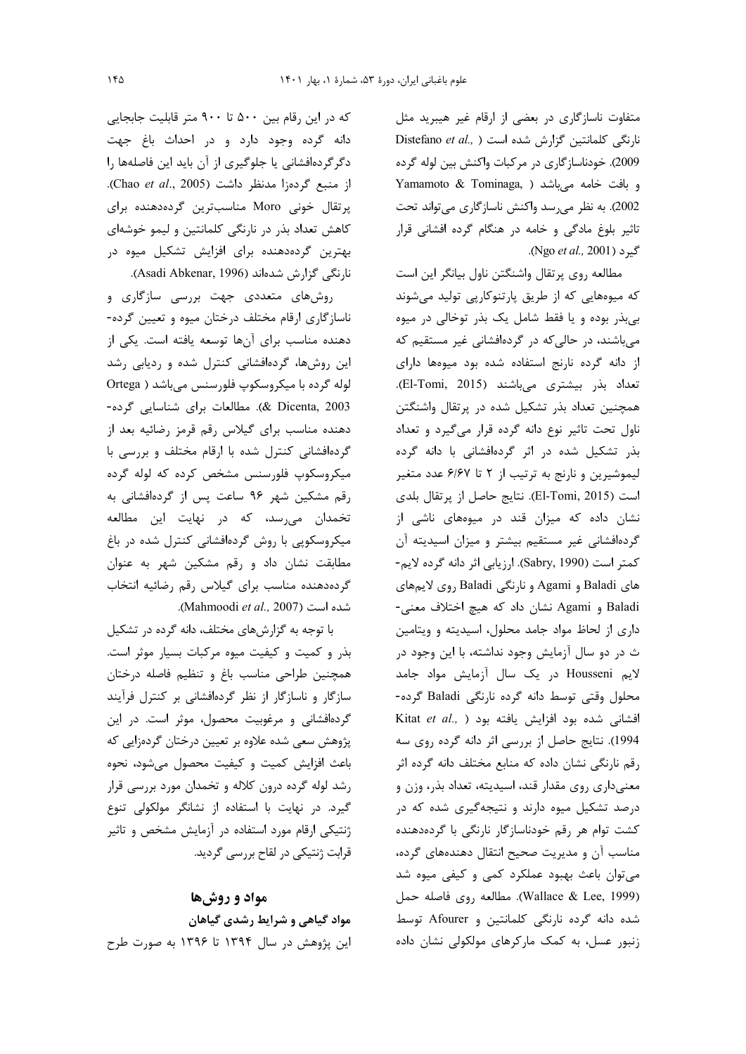متفاوت ناسازگاری در بعضی از ارقام غیر هیبرید مثل Distefano et al., ) نارنگی کلمانتین گزارش شده است 2009). خودناسازگاری در مرکبات واکنش بین لوله گرده Yamamoto & Tominaga, ) و بافت خامه می باشد 2002). به نظر میرسد واکنش ناسازگاری میتواند تحت تاثیر بلوغ مادگی و خامه در هنگام گرده افشانی قرار .Ngo et al., 2001).

مطالعه روى پرتقال واشنگتن ناول بيانگر اين است که میوههایی که از طریق پارتنوکارپی تولید میشوند بی بذر بوده و یا فقط شامل یک بذر توخالی در میوه میباشند، در حالی که در گردهافشانی غیر مستقیم که از دانه گرده نارنج استفاده شده بود میوهها دارای تعداد بذر بيشترى مى باشند (El-Tomi, 2015). همچنین تعداد بذر تشکیل شده در پرتقال واشنگتن ناول تحت تاثیر نوع دانه گرده قرار میگیرد و تعداد بذر تشکیل شده در اثر گردهافشانی با دانه گرده لیموشیرین و نارنج به ترتیب از ۲ تا ۶/۶۷ عدد متغیر است (El-Tomi, 2015). نتايج حاصل از پرتقال بلدى نشان داده که میزان قند در میوههای ناشی از گردهافشانی غیر مستقیم بیشتر و میزان اسیدیته آن كمتر است (Sabry, 1990). ارزيابي اثر دانه گرده لايم-های Baladi و Agami و نارنگی Baladi روی لایمهای Baladi و Agami نشان داد که هیچ اختلاف معنی-داری از لحاظ مواد جامد محلول، اسیدیته و ویتامین ث در دو سال آزمایش وجود نداشته، با این وجود در لايم Housseni در يک سال آزمايش مواد جامد محلول وقتی توسط دانه گرده نارنگی Baladi گرده-Kitat et al., ) افشانی شده بود افزایش یافته بود 1994). نتايج حاصل از بررسي اثر دانه گرده روي سه رقم نارنگی نشان داده که منابع مختلف دانه گرده اثر معنی داری روی مقدار قند، اسیدیته، تعداد بذر، وزن و درصد تشکیل میوه دارند و نتیجهگیری شده که در کشت توام هر رقم خودناسازگار نارنگی با گردهدهنده مناسب آن و مدیریت صحیح انتقال دهندههای گرده، می توان باعث بهبود عملکرد کمی و کیفی میوه شد (Wallace & Lee, 1999). مطالعه روى فاصله حمل شده دانه گرده نارنگی کلمانتین و Afourer توسط زنبور عسل، به کمک مارکرهای مولکولی نشان داده

که در این رقام بین ۵۰۰ تا ۹۰۰ متر قابلیت جابجایی دانه گرده وجود دارد و در احداث باغ جهت دگرگردهافشانی یا جلوگیری از آن باید این فاصلهها را از منبع گردهزا مدنظر داشت (Chao et al., 2005). یرتقال خونی Moro مناسبترین گردهدهنده برای کاهش تعداد بذر در نارنگی کلمانتین و لیمو خوشهای بهترین گردهدهنده برای افزایش تشکیل میوه در نارنگی گزارش شدهاند (Asadi Abkenar, 1996).

روشهای متعددی جهت بررسی سازگاری و ناسازگاری ارقام مختلف درختان میوه و تعیین گرده-دهنده مناسب برای آنها توسعه یافته است. یکی از این روشها، گردهافشانی کنترل شده و ردیابی رشد لوله گرده با میکروسکوپ فلورسنس میباشد ( Ortega 2003 (& Dicenta, 2003). مطالعات براي شناسايي گرده-دهنده مناسب برای گیلاس رقم قرمز رضائیه بعد از گردهافشانی کنترل شده با ارقام مختلف و بررسی با میکروسکوپ فلورسنس مشخص کرده که لوله گرده رقم مشكين شهر ٩۶ ساعت پس از گردهافشانى به تخمدان می رسد، که در نهایت این مطالعه میکروسکوپی با روش گردهافشانی کنترل شده در باغ مطابقت نشان داد و رقم مشکین شهر به عنوان گردهدهنده مناسب برای گیلاس رقم رضائیه انتخاب .(Mahmoodi et al., 2007).

با توجه به گزارشهای مختلف، دانه گرده در تشکیل بذر و کمیت و کیفیت میوه مرکبات بسیار موثر است. همچنین طراحی مناسب باغ و تنظیم فاصله درختان سازگار و ناسازگار از نظر گردهافشانی بر کنترل فرآیند گردهافشانی و مرغوبیت محصول، موثر است. در این پژوهش سعی شده علاوه بر تعیین درختان گردهزایی که باعث افزایش کمیت و کیفیت محصول میشود، نحوه رشد لوله گرده درون كلاله و تخمدان مورد بررسي قرار گیرد. در نهایت با استفاده از نشانگر مولکولی تنوع ژنتیکی ارقام مورد استفاده در آزمایش مشخص و تاثیر قرابت ژنتیکی در لقاح بررسی گردید.

# مواد و روشها

مواد گیاهی و شرایط رشدی گیاهان این پژوهش در سال ۱۳۹۴ تا ۱۳۹۶ به صورت طرح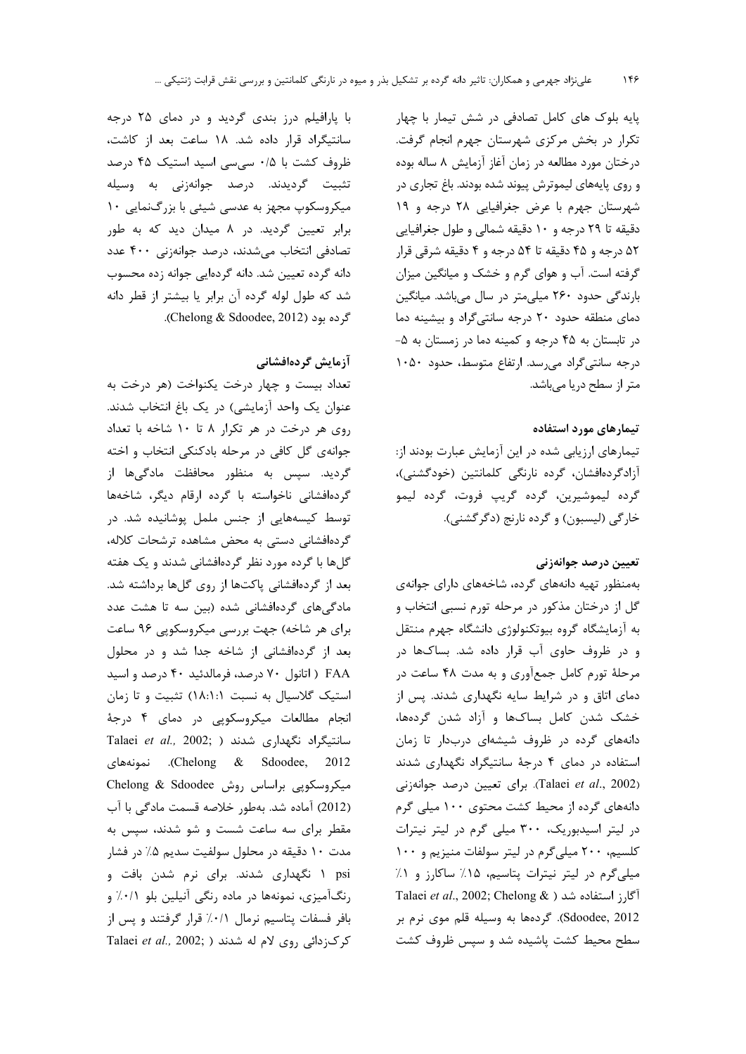یایه بلوک های کامل تصادفی در شش تیمار با چهار تکرار در بخش مرکزی شهرستان جهرم انجام گرفت. درختان مورد مطالعه در زمان آغاز آزمایش ۸ ساله بوده و روی پایههای لیموترش پیوند شده بودند. باغ تجاری در شهرستان جهرم با عرض جغرافیایی ۲۸ درجه و ۱۹ دقیقه تا ۲۹ درجه و ۱۰ دقیقه شمالی و طول جغرافیایی ۵۲ درجه و ۴۵ دقیقه تا ۵۴ درجه و ۴ دقیقه شرقی قرار گرفته است. آب و هوای گرم و خشک و میانگین میزان بارندگی حدود ۲۶۰ میلیمتر در سال میباشد. میانگین دمای منطقه حدود ٢٠ درجه سانتی گراد و بیشینه دما در تابستان به ۴۵ درجه و کمینه دما در زمستان به ۵-درجه سانتی گراد می رسد. ارتفاع متوسط، حدود ١٠٥٠ متر از سطح دریا میباشد.

## تیمارهای مورد استفاده

تیمارهای ارزیابی شده در این آزمایش عبارت بودند از: آزادگردەافشان، گردە نارنگى كلمانتين (خودگشنى)، گرده ليموشيرين، گرده گريپ فروت، گرده ليمو خارگي (ليسبون) و گرده نارنج (دگر گشني).

## تعيين درصد جوانهزني

بهمنظور تهیه دانههای گرده، شاخههای دارای جوانهی گل از درختان مذکور در مرحله تورم نسبی انتخاب و به آزمایشگاه گروه بیوتکنولوژی دانشگاه جهرم منتقل و در ظروف حاوی آب قرار داده شد. بساکها در مرحلهٔ تورم کامل جمعآوری و به مدت ۴۸ ساعت در دمای اتاق و در شرایط سایه نگهداری شدند. پس از خشک شدن کامل بساکها و آزاد شدن گردهها، دانههای گرده در ظروف شیشهای دربدار تا زمان استفاده در دمای ۴ درجهٔ سانتیگراد نگهداری شدند (Talaei et al., 2002). برای تعیین درصد جوانهزنی دانههای گرده از محیط کشت محتوی ۱۰۰ میلی گرم در لیتر اسیدبوریک، ۳۰۰ میلی گرم در لیتر نیترات کلسیم، ۲۰۰ میلی گرم در لیتر سولفات منیزیم و ۱۰۰ میلی گرم در لیتر نیترات پتاسیم، ۱۵٪ ساکارز و ۱٪ Talaei et al., 2002; Chelong & ) اَگارز استفاده شد Sdoodee, 2012). گردهها به وسیله قلم موی نرم بر سطح محیط کشت پاشیده شد و سپس ظروف کشت

با پارافیلم درز بندی گردید و در دمای ۲۵ درجه سانتیگراد قرار داده شد. ۱۸ ساعت بعد از کاشت، ظروف کشت با ۰/۵ سی سی اسید استیک ۴۵ درصد تثبيت گرديدند. درصد جوانهزني به وسيله میکروسکوپ مجهز به عدسی شیئی با بزرگنمایی ۱۰ برابر تعیین گردید. در ۸ میدان دید که به طور تصادفی انتخاب میشدند، درصد جوانهزنی ۴۰۰ عدد دانه گرده تعیین شد. دانه گردهایی جوانه زده محسوب شد که طول لوله گرده آن برابر یا بیشتر از قطر دانه گرده بود (Chelong & Sdoodee, 2012).

## آزمایش گردهافشانی

تعداد بيست و چهار درخت يكنواخت (هر درخت به عنوان یک واحد آزمایشی) در یک باغ انتخاب شدند. روی هر درخت در هر تکرار ۸ تا ۱۰ شاخه با تعداد جوانهی گل کافی در مرحله بادکنکی انتخاب و اخته گردید. سیس به منظور محافظت مادگیها از گردهافشانی ناخواسته با گرده ارقام دیگر، شاخهها توسط کیسههایی از جنس ململ پوشانیده شد. در گردهافشانی دستی به محض مشاهده ترشحات کلاله، گلها با گرده مورد نظر گردهافشانی شدند و یک هفته بعد از گردهافشانی پاکتها از روی گلها برداشته شد. مادگی،های گردهافشانی شده (بین سه تا هشت عدد برای هر شاخه) جهت بررسی میکروسکویی ۹۶ ساعت بعد از گردهافشانی از شاخه جدا شد و در محلول FAA ( اتانول ٧٠ درصد، فرمالدئيد ۴٠ درصد و اسيد استیک گلاسیال به نسبت ١٨:١:١) تثبیت و تا زمان انجام مطالعات میکروسکویی در دمای ۴ درجهٔ Talaei et al., 2002; ) شدند ( Talaei et al., 2002; Chelong & Sdoodee, 2012). نمونههای میکروسکوپی براساس روش Chelong & Sdoodee (2012) آماده شد. بهطور خلاصه قسمت مادگی با آب مقطر برای سه ساعت شست و شو شدند، سیس به مدت ۱۰ دقیقه در محلول سولفیت سدیم ۵٪ در فشار psi ۱ نگهداری شدند. برای نرم شدن بافت و رنگآمیزی، نمونهها در ماده رنگی آنیلین بلو ۰/۱٪ و بافر فسفات پتاسیم نرمال ٠/١٪ قرار گرفتند و پس از Talaei et al., 2002; ) کو کازدائی روی لام له شدند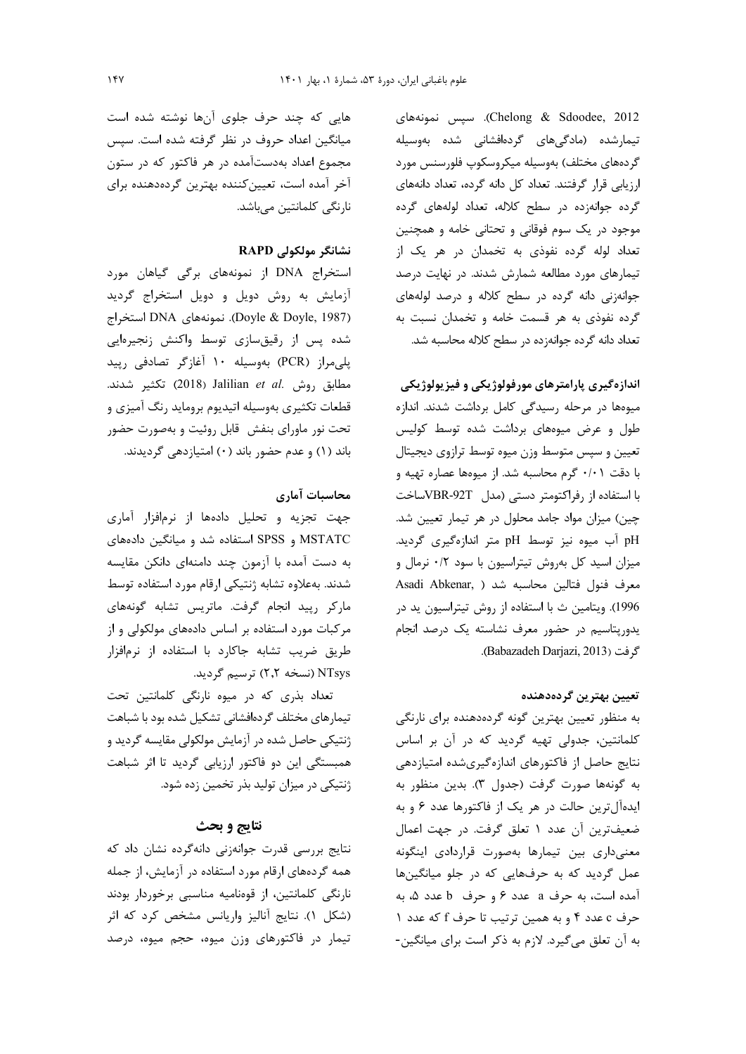Chelong & Sdoodee, 2012). سپس نمونههای تیمارشده (مادگیهای گردهافشانی شده بهوسیله گردههای مختلف) بهوسیله میکروسکوپ فلورسنس مورد ارزیابی قرار گرفتند. تعداد کل دانه گرده، تعداد دانههای گرده جوانهزده در سطح کلاله، تعداد لولههای گرده موجود در یک سوم فوقانی و تحتانی خامه و همچنین تعداد لوله گرده نفوذی به تخمدان در هر یک از تیمارهای مورد مطالعه شمارش شدند. در نهایت درصد جوانهزنی دانه گرده در سطح کلاله و درصد لولههای گرده نفوذی به هر قسمت خامه و تخمدان نسبت به تعداد دانه گرده جوانهزده در سطح کلاله محاسبه شد.

اندازهگیری پارامترهای مورفولوژیکی و فیزیولوژیکی میوهها در مرحله رسیدگی کامل برداشت شدند. اندازه طول و عرض میوههای برداشت شده توسط کولیس تعیین و سپس متوسط وزن میوه توسط ترازوی دیجیتال با دقت ۰/۰۱ گرم محاسبه شد. از میوهها عصاره تهیه و با استفاده از رفراكتومتر دستى (مدل VBR-92Tساخت چین) میزان مواد جامد محلول در هر تیمار تعیین شد. pH آب میوه نیز توسط pH متر اندازهگیری گردید. میزان اسید کل بهروش تیتراسیون با سود ۰/۲ نرمال و Asadi Abkenar, ) معرف فنول فتالين محاسبه شد 1996). ويتامين ث با استفاده از روش تيتراسيون يد در یدوریتاسیم در حضور معرف نشاسته یک درصد انجام 5, فت (Babazadeh Darjazi, 2013).

## تعيين بهترين گردهدهنده

به منظور تعیین بهترین گونه گردهدهنده برای نارنگی كلمانتين، جدولي تهيه گرديد كه در آن بر اساس نتایج حاصل از فاکتورهای اندازهگیریشده امتیازدهی به گونهها صورت گرفت (جدول ٣). بدين منظور به ایدهآل ترین حالت در هر یک از فاکتورها عدد ۶ و به ضعيفترين آن عدد ١ تعلق گرفت. در جهت اعمال معنى دارى بين تيمارها بهصورت قراردادى اينگونه عمل گردید که به حرفهایی که در جلو میانگینها آمده است، به حرف a عدد ۶ و حرف b عدد ۵، به حرف c عدد ۴ و به همین ترتیب تا حرف f که عدد ۱ به آن تعلق می گیرد. لازم به ذکر است برای میانگین-

هایی که چند حرف جلوی آنها نوشته شده است میانگین اعداد حروف در نظر گرفته شده است. سپس مجموع اعداد بهدستآمده در هر فاکتور که در ستون آخر آمده است، تعیین کننده بهترین گردهدهنده برای نارنگی کلمانتین مے باشد.

## نشانگر مولکولی RAPD

استخراج DNA از نمونههای برگی گیاهان مورد آزمایش به روش دویل و دویل استخراج گردید (Doyle & Doyle, 1987). نمونههای DNA استخراج شده پس از رقیقسازی توسط واکنش زنجیرهایی یلی مراز (PCR) بهوسیله ۱۰ آغازگر تصادفی ریید مطابق روش .Jalilian et al تكثير شدند. قطعات تکثیری بهوسیله اتیدیوم بروماید رنگ آمیزی و تحت نور ماورای بنفش قابل روئیت و بهصورت حضور باند (۱) و عدم حضور باند (۰) امتیازدهی گردیدند.

## محاسبات آماري

جهت تجزیه و تحلیل دادهها از نرمافزار آماری MSTATC و SPSS استفاده شد و میانگین دادههای به دست آمده با آزمون چند دامنهای دانکن مقایسه شدند. بهعلاوه تشابه ژنتیکی ارقام مورد استفاده توسط ماركر رپيد انجام گرفت. ماتريس تشابه گونههاى مرکبات مورد استفاده بر اساس دادههای مولکولی و از طریق ضریب تشابه جاکارد با استفاده از نرمافزار NTsys (نسخه ۲٫۲) ترسیم گردید.

تعداد بذری که در میوه نارنگی کلمانتین تحت تیمارهای مختلف گردهافشانی تشکیل شده بود با شباهت ژنتیکی حاصل شده در آزمایش مولکولی مقایسه گردید و همبستگی این دو فاکتور ارزیابی گردید تا اثر شباهت ژنتیکی در میزان تولید بذر تخمین زده شود.

## نتايج و بحث

نتایج بررسی قدرت جوانهزنی دانهگرده نشان داد که همه گردههای ارقام مورد استفاده در آزمایش، از جمله نارنگی کلمانتین، از قوهنامیه مناسبی برخوردار بودند (شكل ١). نتايج آناليز واريانس مشخص كرد كه اثر تیمار در فاکتورهای وزن میوه، حجم میوه، درصد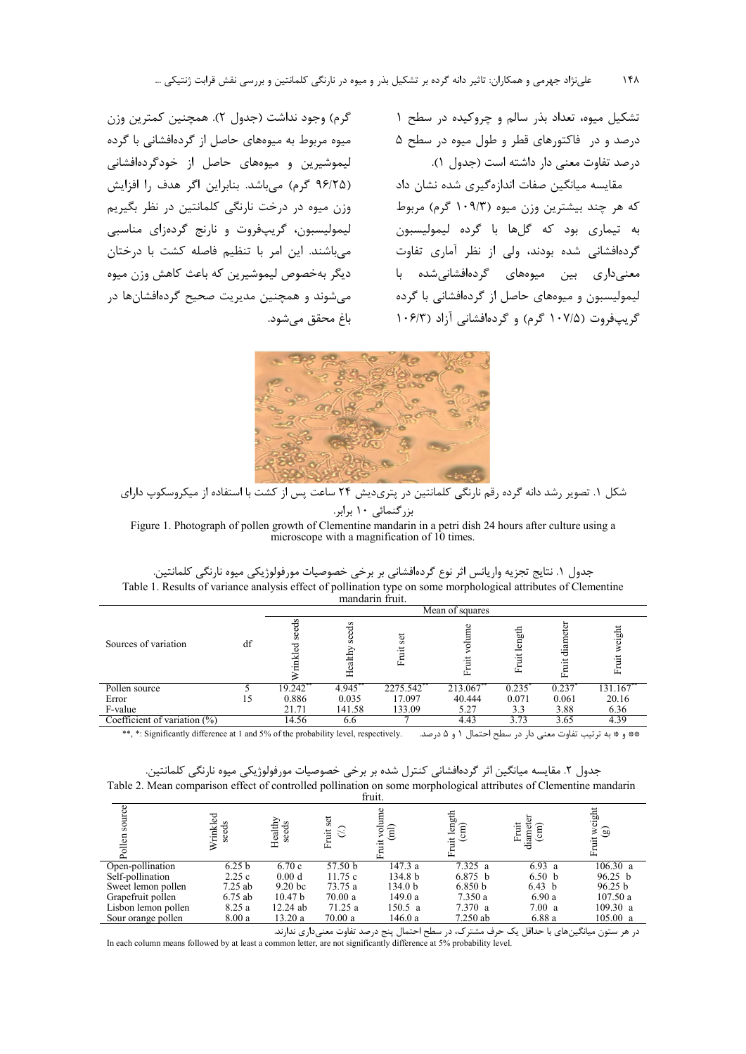تشکیل میوه، تعداد بذر سالم و چروکیده در سطح ۱ درصد و در فاکتورهای قطر و طول میوه در سطح ۵ درصد تفاوت معنى دار داشته است (جدول ١).

مقایسه میانگین صفات اندازهگیری شده نشان داد که هر چند بیشترین وزن میوه (۱۰۹/۳ گرم) مربوط به تیماری بود که گلها با گرده لیمولیسبون گردهافشانی شده بودند، ولی از نظر آماری تفاوت .<br>معنیداری بین میوههای گردهافشانیشده با لیمولیسبون و میوههای حاصل از گردهافشانی با گرده گریپفروت (۱۰۷/۵ گرم) و گردهافشانی آزاد (۱۰۶/۳

گرم) وجود نداشت (جدول ۲). همچنین کمترین وزن میوه مربوط به میوههای حاصل از گردهافشانی با گرده ليموشيرين و ميوههاي حاصل از خودگردهافشاني (۹۶/۲۵ گرم) می باشد. بنابراین اگر هدف را افزایش وزن میوه در درخت نارنگی کلمانتین در نظر بگیریم ليموليسبون، گريپفروت و نارنج گردهزاي مناسبي می،باشند. این امر با تنظیم فاصله کشت با درختان ديگر بهخصوص ليموشيرين كه باعث كاهش وزن ميوه مي شوند و همچنين مديريت صحيح گردهافشانها در باغ محقق می شود.



شکل ۱. تصویر رشد دانه گرده رقم نارنگی کلمانتین در پتریدیش ۲۴ ساعت پس از کشت با استفاده از میکروسکوپ دارای

بزرگنمائی ١٠ برابر.

Figure 1. Photograph of pollen growth of Clementine mandarin in a petri dish 24 hours after culture using a microscope with a magnification of 10 times.

| جدول ١. نتايج تجزيه واريانس اثر نوع گردهافشاني بر برخي خصوصيات مورفولوژيكي ميوه نارنگي كلمانتين.                |
|-----------------------------------------------------------------------------------------------------------------|
| Table 1. Results of variance analysis effect of pollination type on some morphological attributes of Clementine |
| mandarin fruit.                                                                                                 |

|                                 |    | Mean of squares                               |                  |          |                           |                            |                  |         |  |  |
|---------------------------------|----|-----------------------------------------------|------------------|----------|---------------------------|----------------------------|------------------|---------|--|--|
| Sources of variation            | df | $\mathbf{v}$<br>ಕ<br>æ<br>್ದಾ<br>ا<br>E<br>×. | seeds<br>Healthy | ಕ        | $\circ$<br>olum<br>Ĕ<br>庒 | ਵੂੰ<br>$\frac{5}{2}$<br>Ĺ. | diamet<br>Ė<br>모 | eight   |  |  |
| Pollen source                   |    | 19.242                                        | 4.945            | 2275.542 | 213.067                   | 0.235                      | 0.237            | 131.167 |  |  |
| Error                           |    | 0.886                                         | 0.035            | 17.097   | 40.444                    | 0.071                      | 0.061            | 20.16   |  |  |
| F-value                         |    | 21.71                                         | 141.58           | 133.09   | 5.27                      | 3.3                        | 3.88             | 6.36    |  |  |
| Coefficient of variation $(\%)$ |    | 14.56                                         | 6.6              |          | 4.43                      | 3.73                       | 3.65             | 4.39    |  |  |

جدول ٢. مقايسه ميانگين اثر گردهافشاني كنترل شده بر برخي خصوصيات مورفولوژيكي ميوه نارنگي كلمانتين. Table 2. Mean comparison effect of controlled pollination on some morphological attributes of Clementine mandarin

|                     |                   |                    |                        | 11 un.             |                      |                                        |                                   |
|---------------------|-------------------|--------------------|------------------------|--------------------|----------------------|----------------------------------------|-----------------------------------|
| source<br>Pollen    | seeds<br>rinkl    | Healthy<br>seeds   | ςet<br>$\Im$<br>ί<br>모 |                    | length<br>f<br>Fruit | Fruit<br>$\widehat{\text{cm}}$<br>diam | weight<br>$\circledcirc$<br>Fruit |
| Open-pollination    | 6.25 <sub>b</sub> | 6.70c              | 57.50 b                | 147.3 a            | 7.325 a              | 6.93 a                                 | 106.30 a                          |
| Self-pollination    | 2.25c             | 0.00 d             | 11.75c                 | 134.8 <sub>b</sub> | 6.875 b              | 6.50 <sub>b</sub>                      | 96.25 b                           |
| Sweet lemon pollen  | 7.25 ab           | 9.20 <sub>bc</sub> | 73.75 a                | 134.0 <sub>b</sub> | 6.850 b              | 6.43 b                                 | 96.25 b                           |
| Grapefruit pollen   | $6.75$ ab         | 10.47 <sub>b</sub> | 70.00a                 | 149.0a             | 7.350 a              | 6.90a                                  | 107.50a                           |
| Lisbon lemon pollen | 8.25a             | $12.24$ ab         | 71.25 a                | 150.5 a            | 7.370 a              | 7.00 a                                 | 109.30 a                          |
| Sour orange pollen  | 8.00a             | 13.20a             | 70.00a                 | 146.0a             | $7.250$ ab           | 6.88a                                  | 105.00 a                          |
|                     |                   |                    |                        |                    |                      |                                        |                                   |

در هر ستون میانگینهای با حداقل یک حرف مشترک، در سطح احتمال پنج درصد تفاوت معنیداری ندارند. In each column means followed by at least a common letter, are not significantly difference at 5% probability level.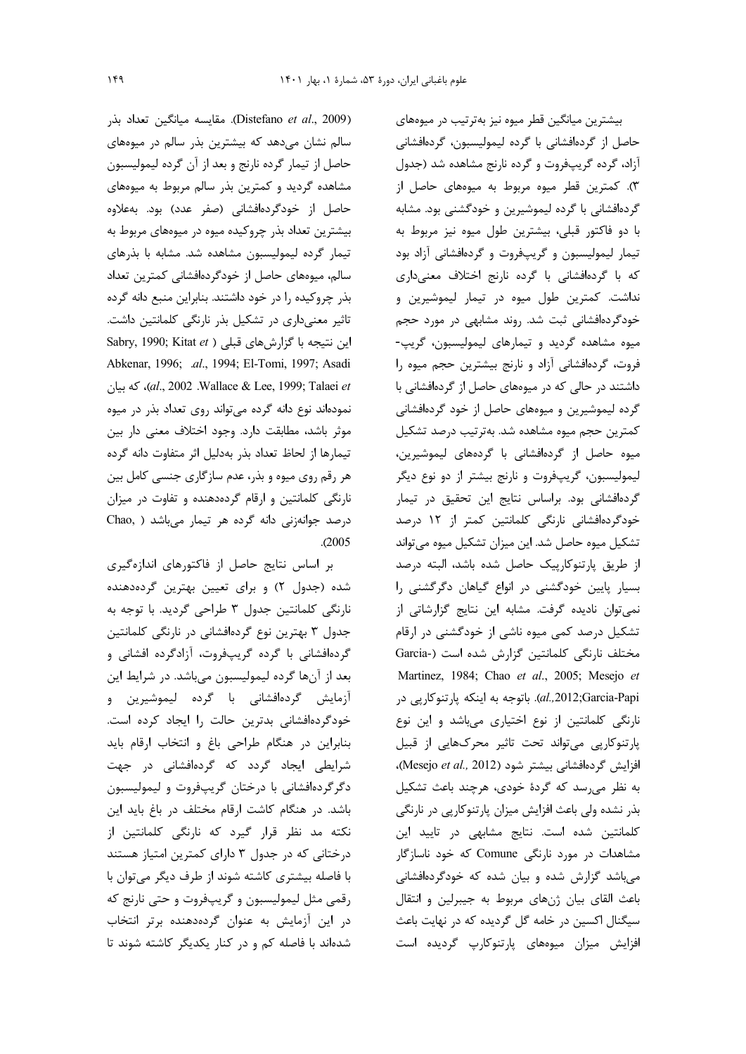(Distefano et al., 2009). مقايسه ميانگين تعداد بذر سالم نشان میدهد که بیشترین بذر سالم در میوههای حاصل از تیمار گرده نارنج و بعد از آن گرده لیمولیسبون مشاهده گردید و کمترین بذر سالم مربوط به میوههای حاصل از خودگردهافشانی (صفر عدد) بود. بهعلاوه بیشترین تعداد بذر چروکیده میوه در میوههای مربوط به تیمار گرده لیمولیسبون مشاهده شد. مشابه با بذرهای سالم، میوههای حاصل از خودگردهافشانی کمترین تعداد بذر چروکیده را در خود داشتند. بنابراین منبع دانه گرده تاثیر معنیداری در تشکیل بذر نارنگی کلمانتین داشت. Sabry, 1990; Kitat et ) این نتیجه با گزارش های قبلی Abkenar, 1996; .al., 1994; El-Tomi, 1997; Asadi al., 2002 .Wallace & Lee, 1999; Talaei et)، كه بيان نمودهاند نوع دانه گرده میتواند روی تعداد بذر در میوه موثر باشد، مطابقت دارد. وجود اختلاف معنی دار بین تیمارها از لحاظ تعداد بذر بهدلیل اثر متفاوت دانه گرده هر رقم روی میوه و بذر، عدم سازگاری جنسی کامل بین نارنگی کلمانتین و ارقام گردهدهنده و تفاوت در میزان درصد جوانهزنی دانه گرده هر تیمار میباشد ( Chao,  $. (2005$ 

بر اساس نتایج حاصل از فاکتورهای اندازهگیری شده (جدول ۲) و برای تعیین بهترین گردهدهنده نارنگی کلمانتین جدول ۳ طراحی گردید. با توجه به جدول ۳ بهترین نوع گردهافشانی در نارنگی کلمانتین گردهافشانی با گرده گریپفروت، آزادگرده افشانی و بعد از آنها گرده لیمولیسبون میباشد. در شرایط این آزمایش گردهافشانی با گرده لیموشیرین و خودگردهافشانی بدترین حالت را ایجاد کرده است. بنابراین در هنگام طراحی باغ و انتخاب ارقام باید شرایطی ایجاد گردد که گردهافشانی در جهت دگر گردهافشانی با درختان گریپفروت و لیمولیسبون باشد. در هنگام كاشت ارقام مختلف در باغ بايد اين نکته مد نظر قرار گیرد که نارنگی کلمانتین از درختانی که در جدول ۳ دارای کمترین امتیاز هستند با فاصله بیشتری کاشته شوند از طرف دیگر میتوان با رقمي مثل ليموليسبون وكريپفروت و حتى نارنج كه در این آزمایش به عنوان گردهدهنده برتر انتخاب شدهاند با فاصله کم و در کنار یکدیگر کاشته شوند تا

بیشترین میانگین قطر میوه نیز بهترتیب در میوههای حاصل از گردهافشانی با گرده لیمولیسبون، گردهافشانی آزاد، گرده گریپفروت و گرده نارنج مشاهده شد (جدول ۳). کمترین قطر میوه مربوط به میوههای حاصل از گردهافشانی با گرده لیموشیرین و خودگشنی بود. مشابه با دو فاكتور قبلي، بيشترين طول ميوه نيز مربوط به تیمار لیمولیسبون و گریپفروت و گردهافشانی آزاد بود که با گردهافشانی با گرده نارنج اختلاف معنیداری نداشت. کمترین طول میوه در تیمار لیموشیرین و خودگردهافشانی ثبت شد. روند مشابهی در مورد حجم ميوه مشاهده گرديد و تيمارهاى ليموليسبون، گريپ-فروت، گردهافشانی آزاد و نارنج بیشترین حجم میوه را داشتند در حالی که در میوههای حاصل از گردهافشانی با گرده لیموشیرین و میوههای حاصل از خود گردهافشانی كمترين حجم ميوه مشاهده شد. بهترتيب درصد تشكيل میوه حاصل از گردهافشانی با گردههای لیموشیرین، ليموليسبون، گريپفروت و نارنج بيشتر از دو نوع ديگر گردهافشانی بود. براساس نتایج این تحقیق در تیمار خودگردهافشانی نارنگی کلمانتین کمتر از ۱۲ درصد تشکیل میوہ حاصل شد. این میزان تشکیل میوہ می تواند از طریق پارتنوکارپیک حاصل شده باشد، البته درصد بسیار پایین خودگشنی در انواع گیاهان دگرگشنی را نمي توان ناديده گرفت. مشابه اين نتايج گزارشاتي از تشکیل درصد کمی میوه ناشی از خودگشنی در ارقام مختلف نارنگی کلمانتین گزارش شده است (-Garcia Martinez, 1984; Chao et al., 2005; Mesejo et al.,2012;Garcia-Papi). باتوجه به اینکه پارتنوکارپی در نارنگی کلمانتین از نوع اختیاری میباشد و این نوع پارتنوکاریی می تواند تحت تاثیر محرکهایی از قبیل افزايش گردهافشانى بيشتر شود (Mesejo et al., 2012). به نظر می سد که گردهٔ خودی، هرچند باعث تشکیل بذر نشده ولي باعث افزايش ميزان پارتنوكاريي در نارنگي كلمانتين شده است. نتايج مشابهي در تاييد اين مشاهدات در مورد نارنگی Comune که خود ناسازگار می باشد گزارش شده و بیان شده که خودگردهافشانی باعث القای بیان ژنهای مربوط به جیبرلین و انتقال سیگنال اکسین در خامه گل گردیده که در نهایت باعث افزایش میزان میوههای پارتنوکارپ گردیده است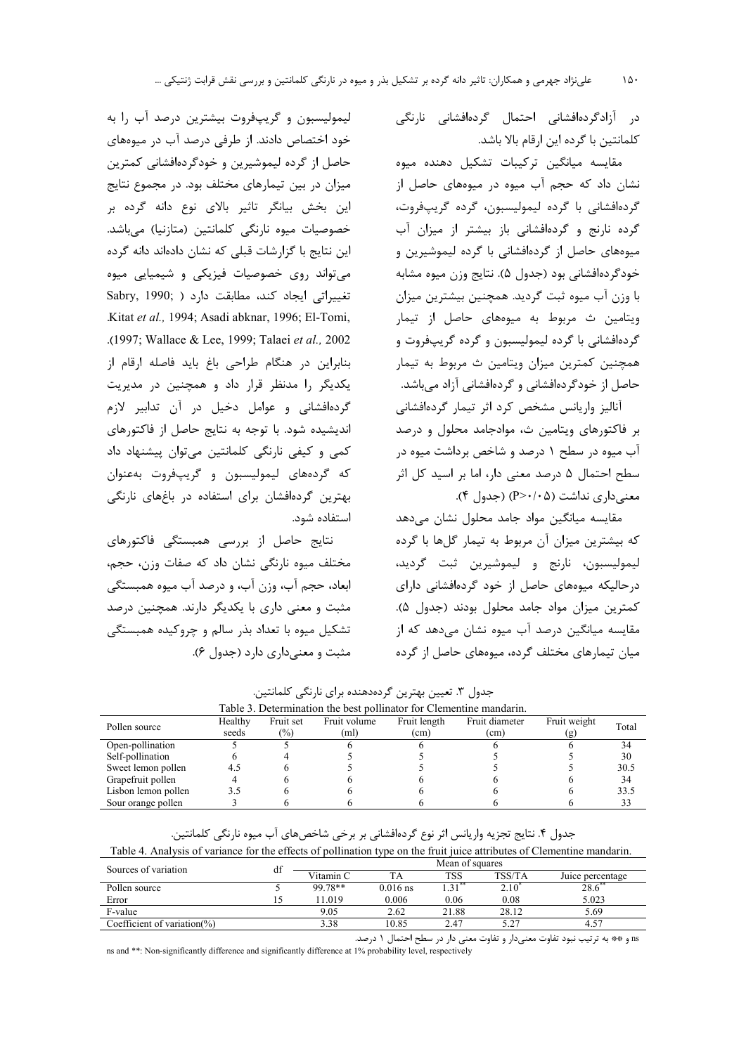در آزادگردهافشانی احتمال گردهافشانی نارنگی كلمانتين با گرده اين ارقام بالا باشد.

مقایسه میانگین ترکیبات تشکیل دهنده میوه نشان داد که حجم آب میوه در میوههای حاصل از گردەافشانى با گردە ليموليسبون، گردە گريپفروت، گرده نارنج و گردهافشانی باز بیشتر از میزان آب میوههای حاصل از گردهافشانی با گرده لیموشیرین و خودگردهافشانی بود (جدول ۵). نتایج وزن میوه مشابه با وزن آب میوه ثبت گردید. همچنین بیشترین میزان ویتامین ث مربوط به میوههای حاصل از تیمار گردهافشانی با گرده لیمولیسبون و گرده گریپفروت و همچنین کمترین میزان ویتامین ث مربوط به تیمار حاصل از خودگردهافشانی و گردهافشانی آزاد میباشد.

آنالیز واریانس مشخص کرد اثر تیمار گردهافشانی بر فاكتورهاى ويتامين ث، موادجامد محلول و درصد آب میوه در سطح ۱ درصد و شاخص برداشت میوه در سطح احتمال ۵ درصد معنی دار، اما بر اسید کل اثر معنی داری نداشت (P>٠/٠۵) (جدول ۴).

مقایسه میانگین مواد جامد محلول نشان می دهد که بیشترین میزان آن مربوط به تیمار گلها با گرده ليموليسبون، نارنج و ليموشيرين ثبت گرديد، در حالیکه میوههای حاصل از خود گردهافشانی دارای كمترين ميزان مواد جامد محلول بودند (جدول ۵). مقایسه میانگین درصد آب میوه نشان میدهد که از میان تیمارهای مختلف گرده، میوههای حاصل از گرده

لیمولیسبون و گریپفروت بیشترین درصد آب را به خود اختصاص دادند. از طرفی درصد آب در میوههای حاصل از گرده لیموشیرین و خودگردهافشانی کمترین میزان در بین تیمارهای مختلف بود. در مجموع نتایج این بخش بیانگر تاثیر بالای نوع دانه گرده بر خصوصیات میوه نارنگی کلمانتین (متازنیا) می باشد. این نتایج با گزارشات قبلی که نشان دادهاند دانه گرده می تواند روی خصوصیات فیزیکی و شیمیایی میوه تغييراتي ايجاد كند، مطابقت دارد ( ,Sabry, 1990 Kitat et al., 1994; Asadi abknar, 1996; El-Tomi, .(1997; Wallace & Lee, 1999; Talaei et al., 2002 بنابراین در هنگام طراحی باغ باید فاصله ارقام از یکدیگر را مدنظر قرار داد و همچنین در مدیریت گردهافشانی و عوامل دخیل در آن تدابیر لازم اندیشیده شود. با توجه به نتایج حاصل از فاکتورهای کمی و کیفی نارنگی کلمانتین میتوان پیشنهاد داد كه گردههاى ليموليسبون و گريپفروت بهعنوان بهترین گردهافشان برای استفاده در باغهای نارنگی استفاده شود.

نتایج حاصل از بررسی همبستگی فاکتورهای مختلف میوه نارنگی نشان داد که صفات وزن، حجم، ابعاد، حجم آب، وزن آب، و درصد آب میوه همبستگی مثبت و معنی داری با یکدیگر دارند. همچنین درصد تشکیل میوه با تعداد بذر سالم و چروکیده همبستگی مثبت و معنی داری دارد (جدول ۶).

جدول ۳. تعیین بهترین گردهدهنده برای نارنگی کلمانتین.

| Table 3. Determination the best pollinator for Clementine mandarin. |         |               |              |              |                   |              |       |  |
|---------------------------------------------------------------------|---------|---------------|--------------|--------------|-------------------|--------------|-------|--|
| Pollen source                                                       | Healthy | Fruit set     | Fruit volume | Fruit length | Fruit diameter    | Fruit weight | Total |  |
|                                                                     | seeds   | $\frac{1}{2}$ | (ml)         | (cm)         | (c <sub>m</sub> ) | (g)          |       |  |
| Open-pollination                                                    |         |               |              |              |                   |              | 34    |  |
| Self-pollination                                                    |         |               |              |              |                   |              | 30    |  |
| Sweet lemon pollen                                                  | 4.5     |               |              |              |                   |              | 30.5  |  |
| Grapefruit pollen                                                   |         |               |              |              |                   |              | 34    |  |
| Lisbon lemon pollen                                                 | 3.5     |               |              |              |                   |              | 33.5  |  |
| Sour orange pollen                                                  |         |               |              |              |                   |              | 33    |  |

| $\alpha$ and $\alpha$ . And vs is the |   |  |                 | $\alpha$ variable to the effects of bollinghon type on the trull nuce all idules of Clementine manuarin. |
|---------------------------------------|---|--|-----------------|----------------------------------------------------------------------------------------------------------|
| <b>Sources</b>                        |   |  | Mean of squares |                                                                                                          |
| variation<br>$\cdot$ $^{\circ}$       | u |  | ro c            | lusog ngrogntaga                                                                                         |

| $0.0011 \, \text{C} \, \text{C} \, \text{O}$ $0.01 \, \text{V} \, \text{O} \, \text{O} \, \text{O} \, \text{O} \, \text{O} \, \text{O} \, \text{O} \, \text{O} \, \text{O} \, \text{O} \, \text{O} \, \text{O} \, \text{O} \, \text{O} \, \text{O} \, \text{O} \, \text{O} \, \text{O} \, \text{O} \, \text{O} \, \text{O} \, \text{O} \, \text{O} \, \text{O} \, \text{O} \, \text$ | u | Vitamin C |            | <b>TSS</b>         | TSS/TA    | Juice percentage |
|--------------------------------------------------------------------------------------------------------------------------------------------------------------------------------------------------------------------------------------------------------------------------------------------------------------------------------------------------------------------------------------|---|-----------|------------|--------------------|-----------|------------------|
| Pollen source                                                                                                                                                                                                                                                                                                                                                                        |   | 99.78**   | $0.016$ ns | $21$ <sup>**</sup> | 2.10      | 28.6             |
| Error                                                                                                                                                                                                                                                                                                                                                                                |   | .019      | 0.006      | 0.06               | $_{0.08}$ | 5.023            |
| F-value                                                                                                                                                                                                                                                                                                                                                                              |   | 9.05      | 2.62       | 21.88              | 28.12     | 5.69             |
| Coefficient of variation $(\%)$                                                                                                                                                                                                                                                                                                                                                      |   | 3.38      | 10.85      | 2.47               |           | 4.57             |
|                                                                                                                                                                                                                                                                                                                                                                                      |   |           |            |                    |           |                  |

ns و \*\* به ترتيب نبود تفاوت معنىدار و تفاوت معنى دار در سطح احتمال ١ درصد.

ns and \*\*: Non-significantly difference and significantly difference at 1% probability level, respectively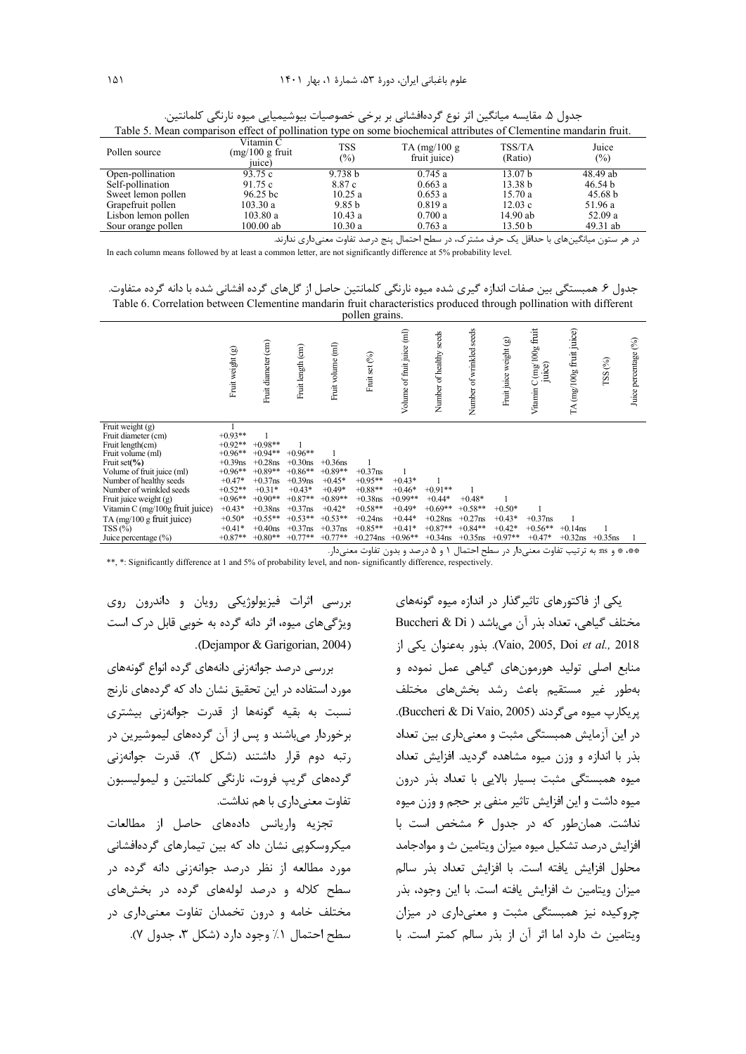| Table 9. Incan comparison check of pommanon type on some biochemical authoritis of Clementine manuarin fruit. |                                          |                      |                                 |                    |              |  |  |  |
|---------------------------------------------------------------------------------------------------------------|------------------------------------------|----------------------|---------------------------------|--------------------|--------------|--|--|--|
| Pollen source                                                                                                 | Vitamin C<br>$(mg/100 g$ fruit<br>iuice) | <b>TSS</b><br>$(\%)$ | TA $(mg/100 g)$<br>fruit juice) | TSS/TA<br>(Ratio)  | Juice<br>(%) |  |  |  |
| Open-pollination                                                                                              | 93.75c                                   | 9.738 b              | 0.745a                          | 13.07 <sub>b</sub> | 48.49 ab     |  |  |  |
| Self-pollination                                                                                              | 91.75 c                                  | 8.87 c               | 0.663a                          | 13.38 b            | 46.54 b      |  |  |  |
| Sweet lemon pollen                                                                                            | $96.25 \text{ bc}$                       | 10.25a               | 0.653a                          | 15.70a             | 45.68 b      |  |  |  |
| Grapefruit pollen                                                                                             | 103.30 a                                 | 9.85 <sub>b</sub>    | 0.819a                          | 12.03c             | 51.96 a      |  |  |  |
| Lisbon lemon pollen                                                                                           | 103.80a                                  | 10.43a               | 0.700a                          | 14.90 ab           | 52.09a       |  |  |  |
| Sour orange pollen                                                                                            | 100.00 ab                                | 10.30a               | 0.763a                          | 13.50 <sub>b</sub> | 49.31 ab     |  |  |  |

جدول ۵. مقايسه ميانگين اثر نوع گردهافشاني بر برخي خصوصيات بيوشيميايي ميوه نارنگي كلمانتين. Table 5. Mean comparison effect of pollination type on some biochemical attributes of Clementine mandarin fruit.

در هر ستون میانگینهای با حداقل یک حرف مشترک، در سطح احتمال پنج درصد تفاوت معنیداری ندارند. In each column means followed by at least a common letter, are not significantly difference at 5% probability level.

جدول ۶. همبستگی بین صفات اندازه گیری شده میوه نارنگی کلمانتین حاصل از گلهای گرده افشانی شده با دانه گرده متفاوت. Table 6. Correlation between Clementine mandarin fruit characteristics produced through pollination with different pollen grains.

|                                 |                  |                     |                   |                   | PU11U11 B1W1110. |                            |                            |                          |                        |                                            |                                               |            |                      |
|---------------------------------|------------------|---------------------|-------------------|-------------------|------------------|----------------------------|----------------------------|--------------------------|------------------------|--------------------------------------------|-----------------------------------------------|------------|----------------------|
|                                 | Fruit weight (g) | Fruit diameter (cm) | Fruit length (cm) | Fruit volume (ml) | Fruit set (%)    | Volume of fruit juice (ml) | seeds<br>Number of healthy | Number of wrinkled seeds | Fruit juice weight (g) | fruit<br>$C$ (mg/100g<br>juice)<br>Vitamin | (mg/100g fruit juice)<br>$\tilde{\mathbf{H}}$ | TSS(%)     | Juice percentage (%) |
| Fruit weight $(g)$              |                  |                     |                   |                   |                  |                            |                            |                          |                        |                                            |                                               |            |                      |
| Fruit diameter (cm)             | $+0.93**$        |                     |                   |                   |                  |                            |                            |                          |                        |                                            |                                               |            |                      |
| Fruit length(cm)                | $+0.92**$        | $+0.98**$           |                   |                   |                  |                            |                            |                          |                        |                                            |                                               |            |                      |
| Fruit volume (ml)               | $+0.96**$        | $+0.94**$           | $+0.96**$         |                   |                  |                            |                            |                          |                        |                                            |                                               |            |                      |
| Fruit set $(\%$                 | $+0.39$ ns       | $+0.28$ ns          | $+0.30$ ns        | $+0.36$ ns        |                  |                            |                            |                          |                        |                                            |                                               |            |                      |
| Volume of fruit juice (ml)      | $+0.96**$        | $+0.89**$           | $+0.86**$         | $+0.89**$         | $+0.37$ ns       |                            |                            |                          |                        |                                            |                                               |            |                      |
| Number of healthy seeds         | $+0.47*$         | $+0.37$ ns          | $+0.39$ ns        | $+0.45*$          | $+0.95**$        | $+0.43*$                   |                            |                          |                        |                                            |                                               |            |                      |
| Number of wrinkled seeds        | $+0.52**$        | $+0.31*$            | $+0.43*$          | $+0.49*$          | $+0.88**$        | $+0.46*$                   | $+0.91**$                  |                          |                        |                                            |                                               |            |                      |
| Fruit juice weight (g)          | $+0.96**$        | $+0.90**$           | $+0.87**$         | $+0.89**$         | $+0.38$ ns       | $+0.99**$                  | $+0.44*$                   | $+0.48*$                 |                        |                                            |                                               |            |                      |
| Vitamin C (mg/100g fruit juice) | $+0.43*$         | $+0.38$ ns          | $+0.37$ ns        | $+0.42*$          | $+0.58**$        | $+0.49*$                   | $+0.69**$                  | $+0.58**$                | $+0.50*$               |                                            |                                               |            |                      |
| TA $(mg/100 g$ fruit juice)     | $+0.50*$         | $+0.55**$           | $+0.53**$         | $+0.53**$         | $+0.24$ ns       | $+0.44*$                   | $+0.28$ ns                 | $+0.27$ ns               | $+0.43*$               | $+0.37$ ns                                 |                                               |            |                      |
| TSS(%)                          | $+0.41*$         | $+0.40$ ns          | $+0.37$ ns        | $+0.37$ ns        | $+0.85**$        | $+0.41*$                   | $+0.87**$                  | $+0.84**$                | $+0.42*$               | $+0.56**$                                  | $+0.14$ ns                                    |            |                      |
| Juice percentage $(\%)$         | $+0.87**$        | $+0.80**$           | $+0.77**$         | $+0.77**$         | $+0.274$ ns      | $+0.96**$                  | $+0.34$ ns                 | $+0.35$ ns               | $+0.97**$              | $+0.47*$                                   | $+0.32$ ns                                    | $+0.35$ ns |                      |

IZ . DP% < <S 1 5 M .= 9:1 IZ DP% [#%% & :ns \* \*\*

\*\*, \*: Significantly difference at 1 and 5% of probability level, and non- significantly difference, respectively.

یکی از فاکتورهای تاثیر گذار در اندازه میوه گونههای Buccheri & Di ) مختلف گیاهی، تعداد بذر آن میباشد ; 8 ,I& + .(Vaio, 2005, Doi *et al.,* 2018 منابع اصلی تولید هورمونهای گیاهی عمل نموده و بهطور غير مستقيم باعث رشد بخشهاى مختلف .(Buccheri & Di Vaio, 2005). بو یکارپ میوه می گردند. در این آزمایش همبستگی مثبت و معنیداری بین تعداد بذر با اندازه و وزن میوه مشاهده گردید. افزایش تعداد میوه همبستگی مثبت بسیار بالایی با تعداد بذر درون میوه داشت و این افزایش تاثیر منفی بر حجم و وزن میوه نداشت. همانطور که در جدول ۶ مشخص است با افزایش درصد تشکیل میوه میزان ویتامین ث و موادجامد محلول افزايش يافته است. با افزايش تعداد بذر سالم ميزان ويتامين ث افزايش يافته است. با اين وجود، بذر چروکیده نیز همبستگی مثبت و معنیداری در میزان ويتامين ث دارد اما اثر آن از بذر سالم كمتر است. با

بررسی اثرات فیزیولوژیکی رویان و داندرون روی ویژگی های میوه، اثر دانه گرده به خوبی قابل درک است .(Dejampor & Garigorian, 2004)

بررسی درصد جوانهزنی دانههای گرده انواع گونههای مورد استفاده در این تحقیق نشان داد که گردههای نارنج نسبت به بقیه گونهها از قدرت جوانهزنی بیشتری برخوردار میباشند و پس از آن گردههای لیموشیرین در رتبه دوم قرار داشتند (شكل ٢). قدرت جوانهزني گردههای گریپ فروت، نارنگی کلمانتین و لیمولیسبون تفاوت معنىدارى با هم نداشت.

تجزيه واريانس دادههاى حاصل از مطالعات میکروسکویی نشان داد که بین تیمارهای گردهافشانی مورد مطالعه از نظر درصد جوانهزنی دانه گرده در سطح کلاله و درصد لولههای گرده در بخشهای مختلف خامه و درون تخمدان تفاوت معنیداری در سطح احتمال ۱٪ وجود دارد (شکل ۳، جدول ۷).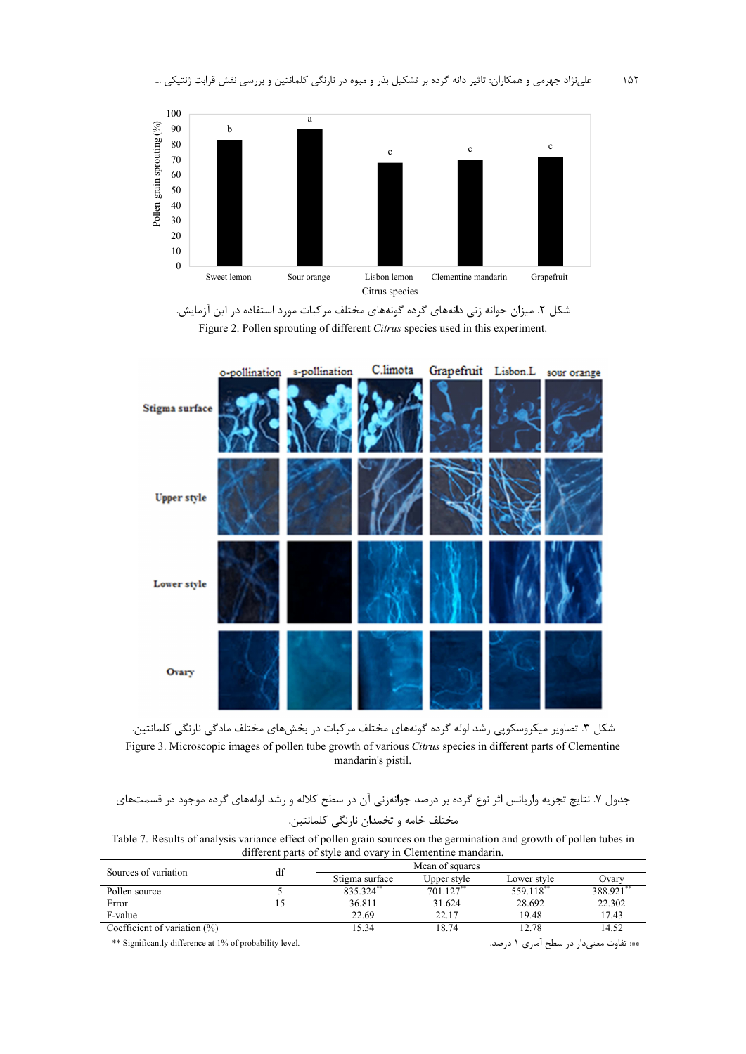





شکل ۳. تصاویر میکروسکوپی رشد لوله گرده گونههای مختلف مرکبات در بخشهای مختلف مادگی نارنگی کلمانتین. Figure 3. Microscopic images of pollen tube growth of various *Citrus* species in different parts of Clementine mandarin's pistil.

جدول ۷. نتايج تجزيه واريانس اثر نوع گرده بر درصد جوانهزني آن در سطح كلاله و رشد لولههاي گرده موجود در قسمتهاي مختلف خامه و تخمدان نارنگی کلمانتین.

Table 7. Results of analysis variance effect of pollen grain sources on the germination and growth of pollen tubes in different parts of style and ovary in Clementine mandarin.

| Sources of variation            | df |                |             |             |         |
|---------------------------------|----|----------------|-------------|-------------|---------|
|                                 |    | Stigma surface | Upper style | Lower style | Ovarv   |
| Pollen source                   |    | 835.324**      | 701.127     | 559.118**   | 388.921 |
| Error                           |    | 36.811         | 31.624      | 28.692      | 22.302  |
| F-value                         |    | 22.69          | 22.17       | 19.48       | 17.43   |
| Coefficient of variation $(\%)$ |    | 15.34          | 18.74       | 12.78       | 14.52   |

\*\* Significantly difference at 1% of probability level. .<S 1 Oe 9:1 IZ DP% :\*\*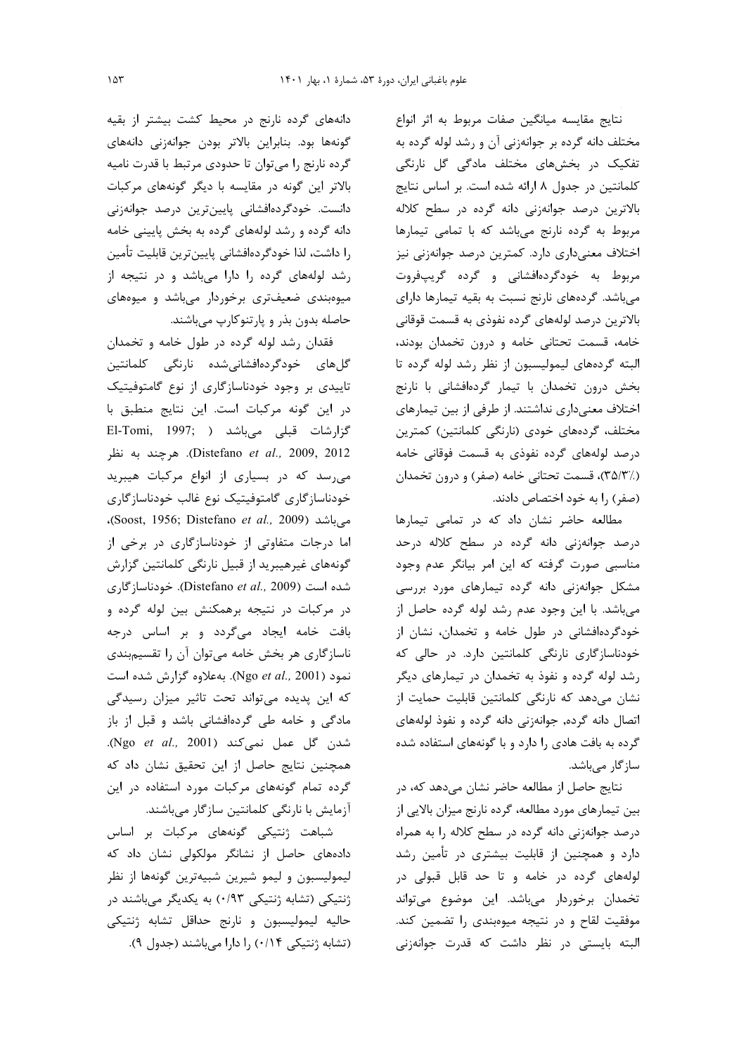نتايج مقايسه ميانكين صفات مربوط به اثر انواع مختلف دانه گرده بر جوانهزنی آن و رشد لوله گرده به تفکیک در بخشهای مختلف مادگی گل نارنگی کلمانتین در جدول ۸ ارائه شده است. بر اساس نتایج بالاترین درصد جوانهزنی دانه گرده در سطح کلاله مربوط به گرده نارنج میباشد که با تمامی تیمارها اختلاف معنیداری دارد. کمترین درصد جوانهزنی نیز مربوط به خودگردهافشانی و گرده گریپفروت می باشد. گردههای نارنج نسبت به بقیه تیمارها دارای بالاترین درصد لولههای گرده نفوذی به قسمت قوقانی خامه، قسمت تحتانی خامه و درون تخمدان بودند، البته گردههای لیمولیسبون از نظر رشد لوله گرده تا بخش درون تخمدان با تيمار گردهافشانی با نارنج اختلاف معنیداری نداشتند. از طرفی از بین تیمارهای مختلف، گردەھاي خودي (نارنگى كلمانتين) كمترين درصد لولههای گرده نفوذی به قسمت فوقانی خامه (٣۵/٣/.)، قسمت تحتاني خامه (صفر) و درون تخمدان (صفر) را به خود اختصاص دادند.

مطالعه حاضر نشان داد که در تمامی تیمارها درصد جوانهزنی دانه گرده در سطح کلاله درحد مناسبی صورت گرفته که این امر بیانگر عدم وجود مشکل جوانهزنی دانه گرده تیمارهای مورد بررسی می باشد. با این وجود عدم رشد لوله گرده حاصل از خودگردهافشانی در طول خامه و تخمدان، نشان از خودناسازگاری نارنگی کلمانتین دارد. در حالی که رشد لوله گرده و نفوذ به تخمدان در تیمارهای دیگر نشان میدهد که نارنگی کلمانتین قابلیت حمایت از اتصال دانه گرده, جوانهزنی دانه گرده و نفوذ لولههای گرده به بافت هادی را دارد و با گونههای استفاده شده سازگار میباشد.

نتايج حاصل از مطالعه حاضر نشان مي دهد كه، در بین تیمارهای مورد مطالعه، گرده نارنج میزان بالایی از درصد جوانهزنی دانه گرده در سطح کلاله را به همراه دارد و همچنین از قابلیت بیشتری در تأمین رشد لولههای گرده در خامه و تا حد قابل قبولی در تخمدان برخوردار مىباشد. اين موضوع مىتواند موفقیت لقاح و در نتیجه میوهبندی را تضمین کند. البته بایستی در نظر داشت که قدرت جوانهزنی

دانههای گرده نارنج در محیط کشت بیشتر از بقیه گونهها بود. بنابراین بالاتر بودن جوانهزنی دانههای گرده نارنج را میتوان تا حدودی مرتبط با قدرت نامیه بالاتر این گونه در مقایسه با دیگر گونههای مرکبات دانست. خودگردهافشانی پایینترین درصد جوانهزنی دانه گرده و رشد لولههای گرده به بخش پایینی خامه را داشت، لذا خودگردهافشانی پایینترین قابلیت تأمین رشد لولههای گرده را دارا می باشد و در نتیجه از میوهبندی ضعیفتری برخوردار میباشد و میوههای حاصله بدون بذر و پارتنوكارپ مىباشند.

فقدان رشد لوله گرده در طول خامه و تخمدان گلهای خودگردهافشانیشده نارنگی کلمانتین تاییدی بر وجود خودناسازگاری از نوع گامتوفیتیک در این گونه مرکبات است. این نتایج منطبق با El-Tomi, 1997; ) میباشد ( El-Tomi, 1997; Distefano et al., 2009, 2012). هرچند به نظر می رسد که در بسیاری از انواع مرکبات هیبرید خودناسازگاری گامتوفیتیک نوع غالب خودناسازگاری می باشد (Soost, 1956; Distefano *et al.,* 2009)، اما درجات متفاوتی از خودناسازگاری در برخی از گونههای غیرهیبرید از قبیل نارنگی کلمانتین گزارش شده است (Distefano et al., 2009). خودناسازگاری در مرکبات در نتیجه برهمکنش بین لوله گرده و بافت خامه ایجاد میگردد و بر اساس درجه ناسازگاری هر بخش خامه میتوان آن را تقسیمبندی نمود (Ngo et al., 2001). بهعلاوه گزارش شده است که این پدیده میتواند تحت تاثیر میزان رسیدگی مادگی و خامه طی گردهافشانی باشد و قبل از باز شدن گل عمل نمی *کن*د (Ngo *et al.,* 2001). همچنین نتایج حاصل از این تحقیق نشان داد که گرده تمام گونههای مرکبات مورد استفاده در این آزمایش با نارنگی کلمانتین سازگار میباشند.

شباهت ژنتیکی گونههای مرکبات بر اساس دادههای حاصل از نشانگر مولکولی نشان داد که ليموليسبون و ليمو شيرين شبيهترين گونهها از نظر ژنتیکی (تشابه ژنتیکی ۰/۹۳) به یکدیگر میباشند در حاليه ليموليسبون و نارنج حداقل تشابه ژنتيكي (تشابه ژنتیکی ۰/۱۴) ,ا دارا می باشند (جدول ۹).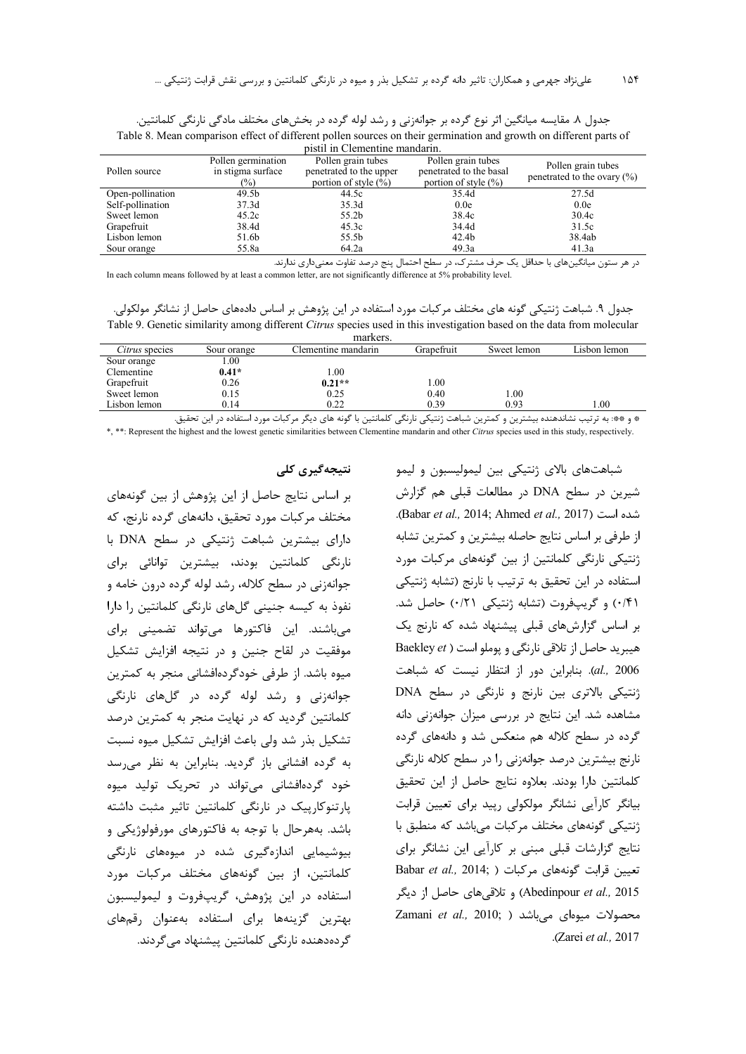| pistil in Clementine mandarin. |                                                   |                                                                           |                                                                           |                                                       |  |  |  |  |
|--------------------------------|---------------------------------------------------|---------------------------------------------------------------------------|---------------------------------------------------------------------------|-------------------------------------------------------|--|--|--|--|
| Pollen source                  | Pollen germination<br>in stigma surface<br>$(\%)$ | Pollen grain tubes<br>penetrated to the upper<br>portion of style $(\% )$ | Pollen grain tubes<br>penetrated to the basal<br>portion of style $(\% )$ | Pollen grain tubes<br>penetrated to the ovary $(\% )$ |  |  |  |  |
| Open-pollination               | 49.5 <sub>b</sub>                                 | 44.5c                                                                     | 35.4d                                                                     | 27.5d                                                 |  |  |  |  |
| Self-pollination               | 37.3d                                             | 35.3d                                                                     | 0.0e                                                                      | 0.0e                                                  |  |  |  |  |
| Sweet lemon                    | 45.2c                                             | 55.2b                                                                     | 38.4c                                                                     | 30.4c                                                 |  |  |  |  |
| Grapefruit                     | 38.4d                                             | 45.3c                                                                     | 34.4d                                                                     | 31.5c                                                 |  |  |  |  |
| Lisbon lemon                   | 51.6b                                             | 55.5b                                                                     | 42.4 <sub>b</sub>                                                         | 38.4ab                                                |  |  |  |  |
| Sour orange                    | 55.8a                                             | 64.2a                                                                     | 49.3a                                                                     | 41.3a                                                 |  |  |  |  |

جدول ۸. مقایسه میانگین اثر نوع گرده بر جوانهزنی و رشد لوله گرده در بخشهای مختلف مادگی نارنگی کلمانتین. Table 8. Mean comparison effect of different pollen sources on their germination and growth on different parts of

در هر ستون میانگینهای با حداقل یک حرف مشترک، در سطح احتمال پنج درصد تفاوت معنیداری ندارند. In each column means followed by at least a common letter, are not significantly difference at 5% probability level.

جدول ۹. شباهت ژنتیکی گونه های مختلف مرکبات مورد استفاده در این پژوهش بر اساس دادههای حاصل از نشانگر مولکولی. Table 9. Genetic similarity among different *Citrus* species used in this investigation based on the data from molecular

|                       |             | markers.            |            |             |              |
|-----------------------|-------------|---------------------|------------|-------------|--------------|
| <i>Citrus</i> species | Sour orange | Clementine mandarin | Grapefruit | Sweet lemon | Lisbon lemon |
| Sour orange           | 1.00        |                     |            |             |              |
| Clementine            | $0.41*$     | $1.00\,$            |            |             |              |
| Grapefruit            | 0.26        | $0.21**$            | 0.0        |             |              |
| Sweet lemon           | 0.15        | 0.25                | 0.40       | $1.00\,$    |              |
| Lisbon lemon          | 0.14        | 0.22                | 0.39       | 0.93        | 00.1         |

\* و \*\*: به ترتيب نشاندهنده بيشترين و كمترين شباهت ژنتيكي نارنگي كلمانتين با گونه هاي ديگر مركبات مورد استفاده در اين تحقيق.

\*, \*\*: Represent the highest and the lowest genetic similarities between Clementine mandarin and other *Citrus* species used in this study, respectively.

نتیجه *گ*یری کلی

بر اساس نتايج حاصل از اين پژوهش از بين گونههاي مختلف مركبات مورد تحقيق، دانههاي گرده نارنج، كه دارای بیشترین شباهت ژنتیکی در سطح DNA با نارنگی کلمانتین بودند، بیشترین توانائی برای جوانهزنی در سطح کلاله، رشد لوله گرده درون خامه و نفوذ به کیسه جنینی گلهای نارنگی کلمانتین را دارا میباشند. این فاکتورها میتواند تضمینی برای موفقیت در لقاح جنین و در نتیجه افزایش تشکیل میوه باشد. از طرفی خودگردهافشانی منجر به کمترین جوانهزنی و رشد لوله گرده در گلهای نارنگی كلمانتين گرديد كه در نهايت منجر به كمترين درصد تشكيل بذر شد ولي باعث افزايش تشكيل ميوه نسبت به گرده افشانی باز گردید. بنابراین به نظر میرسد خود گردهافشانی میتواند در تحریک تولید میوه پارتنوکارپیک در نارنگی کلمانتین تاثیر مثبت داشته باشد. بههرحال با توجه به فاكتورهاي مورفولوژيكي و بیوشیمایی اندازهگیری شده در میوههای نارنگی كلمانتين، از بين گونههاي مختلف مركبات مورد استفاده در این پژوهش، گریپفروت و لیمولیسبون بهترین گزینهها برای استفاده بهعنوان رقمهای گردەدھندە نارنگى كلمانتين ييشنهاد مى گردند. شباهتهای بالای ژنتیکی بین لیمولیسبون و لیمو شیرین در سطح DNA در مطالعات قبلی هم گزارش .(Babar *et al.,* 2014; Ahmed *et al.,* 2017) 41 '< از طرفی بر اساس نتایج حاصله بیشترین و کمترین تشابه ژنتیکی نارنگی کلمانتین از بین گونههای مرکبات مورد استفاده در این تحقیق به ترتیب با نارنج (تشابه ژنتیکی ۰/۴۱) و گریپفروت (تشابه ژنتیکی ۰/۲۱) حاصل شد. بر اساس گزارشهای قبلی پیشنهاد شده که نارنج یک Baekley et ) هیبرید حاصل از تلاقی نارنگی و پوملو است al., 2006). بنابراین دور از انتظار نیست که شباهت ژنتیکی بالاتری بین نارنج و نارنگی در سطح DNA مشاهده شد. این نتایج در بررسی میزان جوانهزنی دانه گرده در سطح کلاله هم منعکس شد و دانههای گرده نارنج بیشترین درصد جوانهزنی را در سطح کلاله نارنگی كلمانتين دارا بودند. بعلاوه نتايج حاصل از اين تحقيق بیانگر کارآیی نشانگر مولکولی رپید برای تعیین قرابت ژنتیکی گونههای مختلف مرکبات میباشد که منطبق با نتایج گزارشات قبلی مبنی بر کاراًیی این نشانگر برای Babar *et al.,* 2014; ) تعيين قرابت كونههاي مركبات 4 Abedinpour et al., 2015) و تلاقی های حاصل از دیگر محصولات میوهای می<sub>ا</sub>شد ( ,2010 Zamani *et al* .( Zarei *et al.,* 2017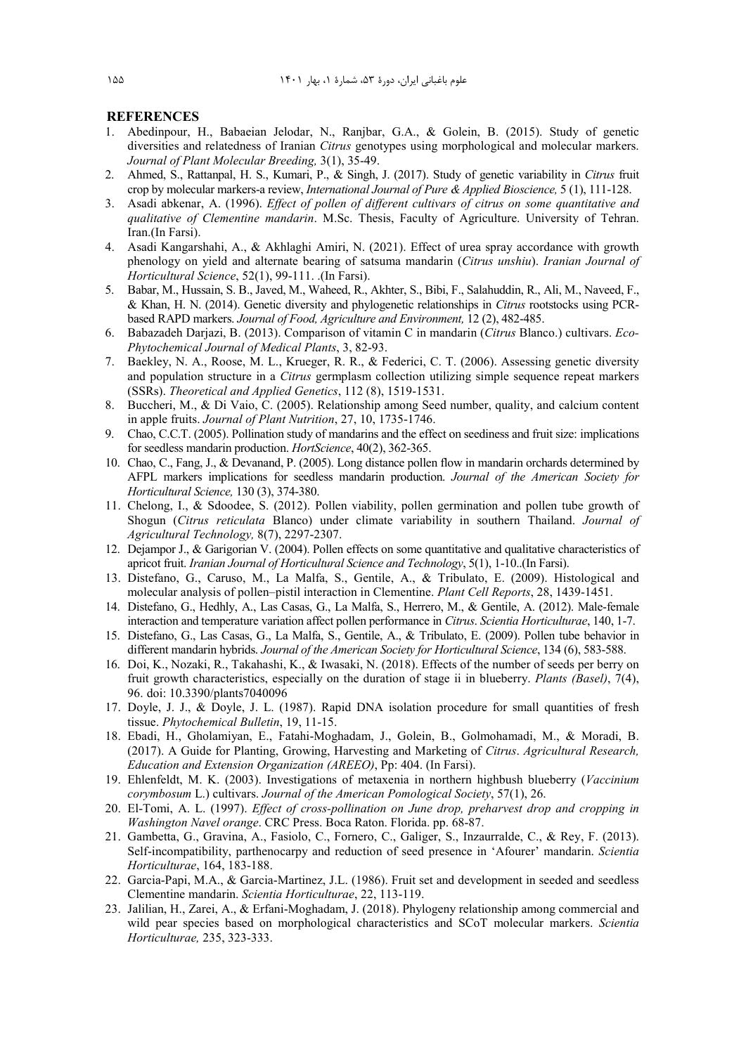#### **REFERENCES**

- 1. Abedinpour, H., Babaeian Jelodar, N., Ranjbar, G.A., & Golein, B. (2015). Study of genetic diversities and relatedness of Iranian *Citrus* genotypes using morphological and molecular markers. *Journal of Plant Molecular Breeding,* 3(1), 35-49.
- 2. Ahmed, S., Rattanpal, H. S., Kumari, P., & Singh, J. (2017). Study of genetic variability in *Citrus* fruit crop by molecular markers-a review, *International Journal of Pure & Applied Bioscience,* 5 (1), 111-128.
- 3. Asadi abkenar, A. (1996). *Effect of pollen of different cultivars of citrus on some quantitative and qualitative of Clementine mandarin*. M.Sc. Thesis, Faculty of Agriculture. University of Tehran. Iran.(In Farsi).
- 4. Asadi Kangarshahi, A., & Akhlaghi Amiri, N. (2021). Effect of urea spray accordance with growth phenology on yield and alternate bearing of satsuma mandarin (*Citrus unshiu*). *Iranian Journal of Horticultural Science*, 52(1), 99-111. .(In Farsi).
- 5. Babar, M., Hussain, S. B., Javed, M., Waheed, R., Akhter, S., Bibi, F., Salahuddin, R., Ali, M., Naveed, F., & Khan, H. N. (2014). Genetic diversity and phylogenetic relationships in *Citrus* rootstocks using PCRbased RAPD markers. *Journal of Food, Agriculture and Environment,* 12 (2), 482-485.
- 6. Babazadeh Darjazi, B. (2013). Comparison of vitamin C in mandarin (*Citrus* Blanco.) cultivars. *Eco-Phytochemical Journal of Medical Plants*, 3, 82-93.
- 7. Baekley, N. A., Roose, M. L., Krueger, R. R., & Federici, C. T. (2006). Assessing genetic diversity and population structure in a *Citrus* germplasm collection utilizing simple sequence repeat markers (SSRs). *Theoretical and Applied Genetics*, 112 (8), 1519-1531.
- 8. Buccheri, M., & Di Vaio, C. (2005). Relationship among Seed number, quality, and calcium content in apple fruits. *Journal of Plant Nutrition*, 27, 10, 1735-1746.
- 9. Chao, C.C.T. (2005). Pollination study of mandarins and the effect on seediness and fruit size: implications for seedless mandarin production. *HortScience*, 40(2), 362-365.
- 10. Chao, C., Fang, J., & Devanand, P. (2005). Long distance pollen flow in mandarin orchards determined by AFPL markers implications for seedless mandarin production. *Journal of the American Society for Horticultural Science,* 130 (3), 374-380.
- 11. Chelong, I., & Sdoodee, S. (2012). Pollen viability, pollen germination and pollen tube growth of Shogun (*Citrus reticulata* Blanco) under climate variability in southern Thailand. *Journal of Agricultural Technology,* 8(7), 2297-2307.
- 12. Dejampor J., & Garigorian V. (2004). Pollen effects on some quantitative and qualitative characteristics of apricot fruit. *Iranian Journal of Horticultural Science and Technology*, 5(1), 1-10..(In Farsi).
- 13. Distefano, G., Caruso, M., La Malfa, S., Gentile, A., & Tribulato, E. (2009). Histological and molecular analysis of pollen–pistil interaction in Clementine. *Plant Cell Reports*, 28, 1439-1451.
- 14. Distefano, G., Hedhly, A., Las Casas, G., La Malfa, S., Herrero, M., & Gentile, A. (2012). Male-female interaction and temperature variation affect pollen performance in *Citrus*. *Scientia Horticulturae*, 140, 1-7.
- 15. Distefano, G., Las Casas, G., La Malfa, S., Gentile, A., & Tribulato, E. (2009). Pollen tube behavior in different mandarin hybrids. *Journal of the American Society for Horticultural Science*, 134 (6), 583-588.
- 16. Doi, K., Nozaki, R., Takahashi, K., & Iwasaki, N. (2018). Effects of the number of seeds per berry on fruit growth characteristics, especially on the duration of stage ii in blueberry. *Plants (Basel)*, 7(4), 96. doi: 10.3390/plants7040096
- 17. Doyle, J. J., & Doyle, J. L. (1987). Rapid DNA isolation procedure for small quantities of fresh tissue. *Phytochemical Bulletin*, 19, 11-15.
- 18. Ebadi, H., Gholamiyan, E., Fatahi-Moghadam, J., Golein, B., Golmohamadi, M., & Moradi, B. (2017). A Guide for Planting, Growing, Harvesting and Marketing of *Citrus*. *Agricultural Research, Education and Extension Organization (AREEO)*, Pp: 404. (In Farsi).
- 19. Ehlenfeldt, M. K. (2003). Investigations of metaxenia in northern highbush blueberry (*Vaccinium corymbosum* L.) cultivars. *Journal of the American Pomological Society*, 57(1), 26.
- 20. El-Tomi, A. L. (1997). *Effect of cross-pollination on June drop, preharvest drop and cropping in Washington Navel orange*. CRC Press. Boca Raton. Florida. pp. 68-87.
- 21. Gambetta, G., Gravina, A., Fasiolo, C., Fornero, C., Galiger, S., Inzaurralde, C., & Rey, F. (2013). Self-incompatibility, parthenocarpy and reduction of seed presence in 'Afourer' mandarin. *Scientia Horticulturae*, 164, 183-188.
- 22. Garcia-Papi, M.A., & Garcia-Martinez, J.L. (1986). Fruit set and development in seeded and seedless Clementine mandarin. *Scientia Horticulturae*, 22, 113-119.
- 23. Jalilian, H., Zarei, A., & Erfani-Moghadam, J. (2018). Phylogeny relationship among commercial and wild pear species based on morphological characteristics and SCoT molecular markers. *Scientia Horticulturae,* 235, 323-333.